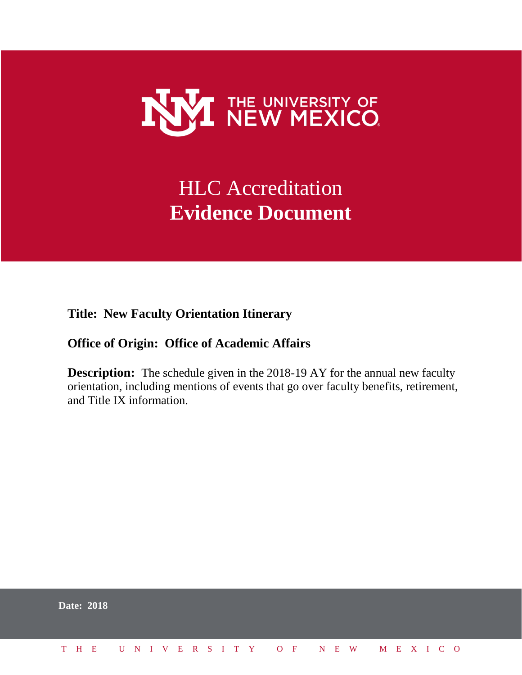

## HLC Accreditation **Evidence Document**

**Title: New Faculty Orientation Itinerary**

## **Office of Origin: Office of Academic Affairs**

**Description:** The schedule given in the 2018-19 AY for the annual new faculty orientation, including mentions of events that go over faculty benefits, retirement, and Title IX information.

|  | <b>Date: 2018</b>            |  |  |  |  |  |  |  |  |  |  |  |  |  |
|--|------------------------------|--|--|--|--|--|--|--|--|--|--|--|--|--|
|  | THE UNIVERSITY OF NEW MEXICO |  |  |  |  |  |  |  |  |  |  |  |  |  |